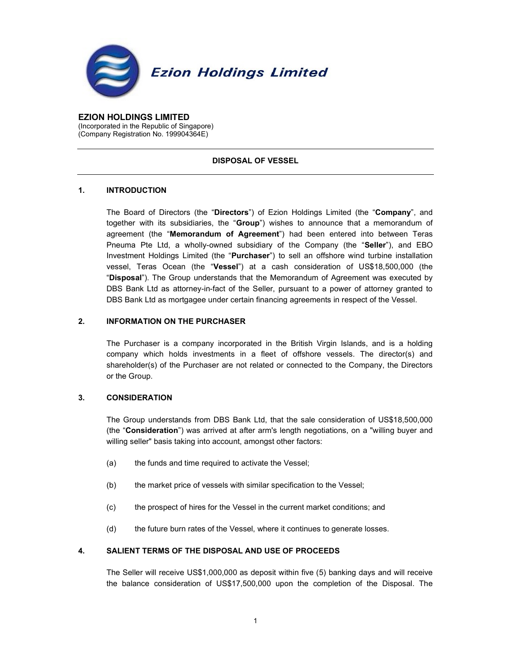

EZION HOLDINGS LIMITED (Incorporated in the Republic of Singapore) (Company Registration No. 199904364E)

## DISPOSAL OF VESSEL

# 1. INTRODUCTION

The Board of Directors (the "Directors") of Ezion Holdings Limited (the "Company", and together with its subsidiaries, the "Group") wishes to announce that a memorandum of agreement (the "Memorandum of Agreement") had been entered into between Teras Pneuma Pte Ltd, a wholly-owned subsidiary of the Company (the "Seller"), and EBO Investment Holdings Limited (the "Purchaser") to sell an offshore wind turbine installation vessel, Teras Ocean (the "Vessel") at a cash consideration of US\$18,500,000 (the "Disposal"). The Group understands that the Memorandum of Agreement was executed by DBS Bank Ltd as attorney-in-fact of the Seller, pursuant to a power of attorney granted to DBS Bank Ltd as mortgagee under certain financing agreements in respect of the Vessel.

# 2. INFORMATION ON THE PURCHASER

The Purchaser is a company incorporated in the British Virgin Islands, and is a holding company which holds investments in a fleet of offshore vessels. The director(s) and shareholder(s) of the Purchaser are not related or connected to the Company, the Directors or the Group.

## 3. CONSIDERATION

The Group understands from DBS Bank Ltd, that the sale consideration of US\$18,500,000 (the "Consideration") was arrived at after arm's length negotiations, on a "willing buyer and willing seller" basis taking into account, amongst other factors:

- (a) the funds and time required to activate the Vessel;
- (b) the market price of vessels with similar specification to the Vessel;
- (c) the prospect of hires for the Vessel in the current market conditions; and
- (d) the future burn rates of the Vessel, where it continues to generate losses.

## 4. SALIENT TERMS OF THE DISPOSAL AND USE OF PROCEEDS

The Seller will receive US\$1,000,000 as deposit within five (5) banking days and will receive the balance consideration of US\$17,500,000 upon the completion of the Disposal. The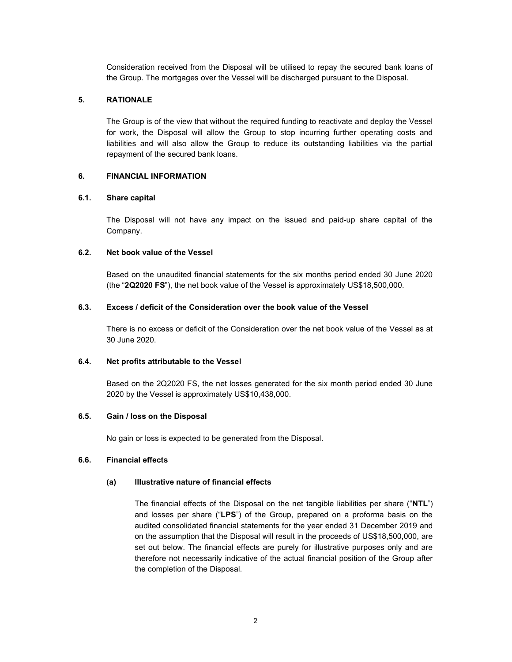Consideration received from the Disposal will be utilised to repay the secured bank loans of the Group. The mortgages over the Vessel will be discharged pursuant to the Disposal.

### 5. RATIONALE

The Group is of the view that without the required funding to reactivate and deploy the Vessel for work, the Disposal will allow the Group to stop incurring further operating costs and liabilities and will also allow the Group to reduce its outstanding liabilities via the partial repayment of the secured bank loans.

### 6. FINANCIAL INFORMATION

# 6.1. Share capital

The Disposal will not have any impact on the issued and paid-up share capital of the Company.

### 6.2. Net book value of the Vessel

Based on the unaudited financial statements for the six months period ended 30 June 2020 (the "2Q2020 FS"), the net book value of the Vessel is approximately US\$18,500,000.

### 6.3. Excess / deficit of the Consideration over the book value of the Vessel

There is no excess or deficit of the Consideration over the net book value of the Vessel as at 30 June 2020.

#### 6.4. Net profits attributable to the Vessel

Based on the 2Q2020 FS, the net losses generated for the six month period ended 30 June 2020 by the Vessel is approximately US\$10,438,000.

### 6.5. Gain / loss on the Disposal

No gain or loss is expected to be generated from the Disposal.

# 6.6. Financial effects

#### (a) Illustrative nature of financial effects

The financial effects of the Disposal on the net tangible liabilities per share ("NTL") and losses per share ("LPS") of the Group, prepared on a proforma basis on the audited consolidated financial statements for the year ended 31 December 2019 and on the assumption that the Disposal will result in the proceeds of US\$18,500,000, are set out below. The financial effects are purely for illustrative purposes only and are therefore not necessarily indicative of the actual financial position of the Group after the completion of the Disposal.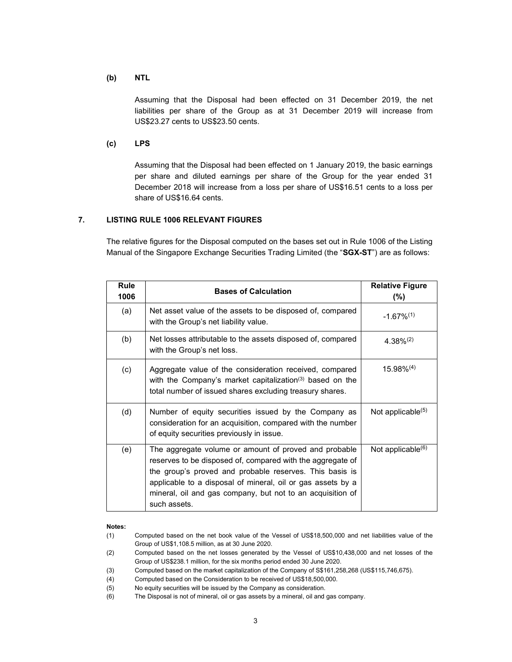### (b) NTL

Assuming that the Disposal had been effected on 31 December 2019, the net liabilities per share of the Group as at 31 December 2019 will increase from US\$23.27 cents to US\$23.50 cents.

### (c) LPS

Assuming that the Disposal had been effected on 1 January 2019, the basic earnings per share and diluted earnings per share of the Group for the year ended 31 December 2018 will increase from a loss per share of US\$16.51 cents to a loss per share of US\$16.64 cents.

# 7. LISTING RULE 1006 RELEVANT FIGURES

The relative figures for the Disposal computed on the bases set out in Rule 1006 of the Listing Manual of the Singapore Exchange Securities Trading Limited (the "SGX-ST") are as follows:

| Rule<br>1006 | <b>Bases of Calculation</b>                                                                                                                                                                                                                                                                                                 | <b>Relative Figure</b><br>$(\% )$ |
|--------------|-----------------------------------------------------------------------------------------------------------------------------------------------------------------------------------------------------------------------------------------------------------------------------------------------------------------------------|-----------------------------------|
| (a)          | Net asset value of the assets to be disposed of, compared<br>with the Group's net liability value.                                                                                                                                                                                                                          | $-1.67\%^{(1)}$                   |
| (b)          | Net losses attributable to the assets disposed of, compared<br>with the Group's net loss.                                                                                                                                                                                                                                   | $4.38\%^{(2)}$                    |
| (c)          | Aggregate value of the consideration received, compared<br>with the Company's market capitalization <sup>(3)</sup> based on the<br>total number of issued shares excluding treasury shares.                                                                                                                                 | $15.98\%^{(4)}$                   |
| (d)          | Number of equity securities issued by the Company as<br>consideration for an acquisition, compared with the number<br>of equity securities previously in issue.                                                                                                                                                             | Not applicable $(5)$              |
| (e)          | The aggregate volume or amount of proved and probable<br>reserves to be disposed of, compared with the aggregate of<br>the group's proved and probable reserves. This basis is<br>applicable to a disposal of mineral, oil or gas assets by a<br>mineral, oil and gas company, but not to an acquisition of<br>such assets. | Not applicable $(6)$              |

#### Notes:

- (1) Computed based on the net book value of the Vessel of US\$18,500,000 and net liabilities value of the Group of US\$1,108.5 million, as at 30 June 2020.
- (2) Computed based on the net losses generated by the Vessel of US\$10,438,000 and net losses of the Group of US\$238.1 million, for the six months period ended 30 June 2020.
- (3) Computed based on the market capitalization of the Company of S\$161,258,268 (US\$115,746,675).
- (4) Computed based on the Consideration to be received of US\$18,500,000.
- (5) No equity securities will be issued by the Company as consideration.
- (6) The Disposal is not of mineral, oil or gas assets by a mineral, oil and gas company.